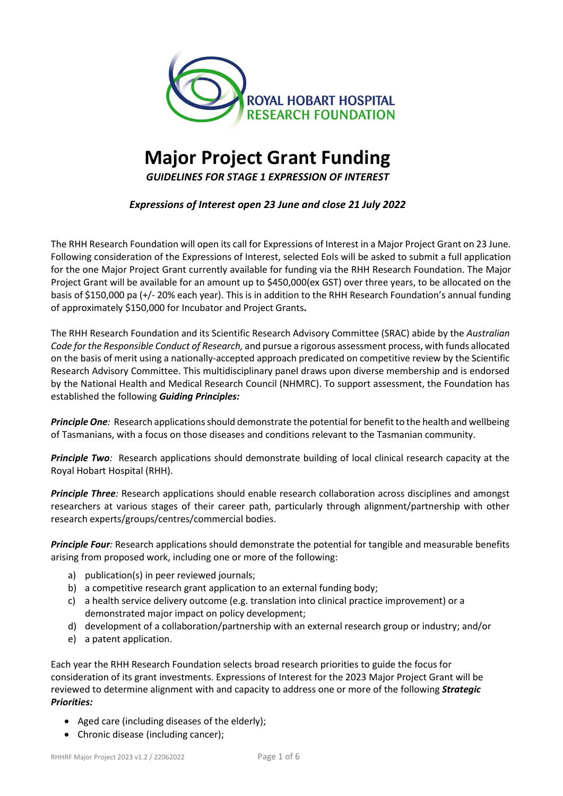

# **Major Project Grant Funding**

*GUIDELINES FOR STAGE 1 EXPRESSION OF INTEREST* 

*Expressions of Interest open 23 June and close 21 July 2022*

The RHH Research Foundation will open its call for Expressions of Interest in a Major Project Grant on 23 June*.* Following consideration of the Expressions of Interest, selected EoIs will be asked to submit a full application for the one Major Project Grant currently available for funding via the RHH Research Foundation. The Major Project Grant will be available for an amount up to \$450,000(ex GST) over three years, to be allocated on the basis of \$150,000 pa (+/- 20% each year). This is in addition to the RHH Research Foundation's annual funding of approximately \$150,000 for Incubator and Project Grants**.**

The RHH Research Foundation and its Scientific Research Advisory Committee (SRAC) abide by the *Australian Code for the Responsible Conduct of Research,* and pursue a rigorous assessment process, with funds allocated on the basis of merit using a nationally-accepted approach predicated on competitive review by the Scientific Research Advisory Committee. This multidisciplinary panel draws upon diverse membership and is endorsed by the National Health and Medical Research Council (NHMRC). To support assessment, the Foundation has established the following *Guiding Principles:*

*Principle One:* Research applications should demonstrate the potential for benefit to the health and wellbeing of Tasmanians, with a focus on those diseases and conditions relevant to the Tasmanian community.

**Principle Two**: Research applications should demonstrate building of local clinical research capacity at the Royal Hobart Hospital (RHH).

*Principle Three:* Research applications should enable research collaboration across disciplines and amongst researchers at various stages of their career path, particularly through alignment/partnership with other research experts/groups/centres/commercial bodies.

*Principle Four:* Research applications should demonstrate the potential for tangible and measurable benefits arising from proposed work, including one or more of the following:

- a) publication(s) in peer reviewed journals;
- b) a competitive research grant application to an external funding body;
- c) a health service delivery outcome (e.g. translation into clinical practice improvement) or a demonstrated major impact on policy development;
- d) development of a collaboration/partnership with an external research group or industry; and/or
- e) a patent application.

Each year the RHH Research Foundation selects broad research priorities to guide the focus for consideration of its grant investments. Expressions of Interest for the 2023 Major Project Grant will be reviewed to determine alignment with and capacity to address one or more of the following *Strategic Priorities:*

- Aged care (including diseases of the elderly);
- Chronic disease (including cancer);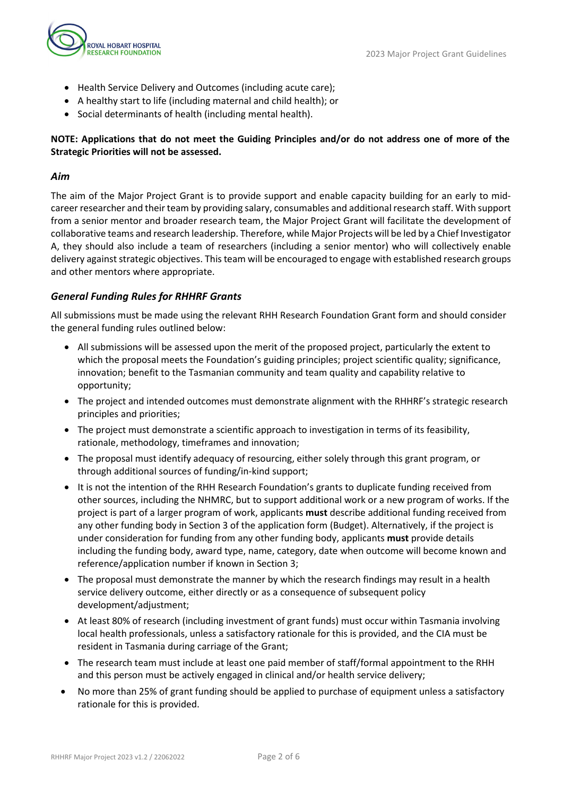

- Health Service Delivery and Outcomes (including acute care);
- A healthy start to life (including maternal and child health); or
- Social determinants of health (including mental health).

# **NOTE: Applications that do not meet the Guiding Principles and/or do not address one of more of the Strategic Priorities will not be assessed.**

# *Aim*

The aim of the Major Project Grant is to provide support and enable capacity building for an early to midcareer researcher and their team by providing salary, consumables and additional research staff. With support from a senior mentor and broader research team, the Major Project Grant will facilitate the development of collaborative teams and research leadership. Therefore, while Major Projects will be led by a Chief Investigator A, they should also include a team of researchers (including a senior mentor) who will collectively enable delivery against strategic objectives. This team will be encouraged to engage with established research groups and other mentors where appropriate.

# *General Funding Rules for RHHRF Grants*

All submissions must be made using the relevant RHH Research Foundation Grant form and should consider the general funding rules outlined below:

- All submissions will be assessed upon the merit of the proposed project, particularly the extent to which the proposal meets the Foundation's guiding principles; project scientific quality; significance, innovation; benefit to the Tasmanian community and team quality and capability relative to opportunity;
- The project and intended outcomes must demonstrate alignment with the RHHRF's strategic research principles and priorities;
- The project must demonstrate a scientific approach to investigation in terms of its feasibility, rationale, methodology, timeframes and innovation;
- The proposal must identify adequacy of resourcing, either solely through this grant program, or through additional sources of funding/in-kind support;
- It is not the intention of the RHH Research Foundation's grants to duplicate funding received from other sources, including the NHMRC, but to support additional work or a new program of works. If the project is part of a larger program of work, applicants **must** describe additional funding received from any other funding body in Section 3 of the application form (Budget). Alternatively, if the project is under consideration for funding from any other funding body, applicants **must** provide details including the funding body, award type, name, category, date when outcome will become known and reference/application number if known in Section 3;
- The proposal must demonstrate the manner by which the research findings may result in a health service delivery outcome, either directly or as a consequence of subsequent policy development/adjustment;
- At least 80% of research (including investment of grant funds) must occur within Tasmania involving local health professionals, unless a satisfactory rationale for this is provided, and the CIA must be resident in Tasmania during carriage of the Grant;
- The research team must include at least one paid member of staff/formal appointment to the RHH and this person must be actively engaged in clinical and/or health service delivery;
- No more than 25% of grant funding should be applied to purchase of equipment unless a satisfactory rationale for this is provided.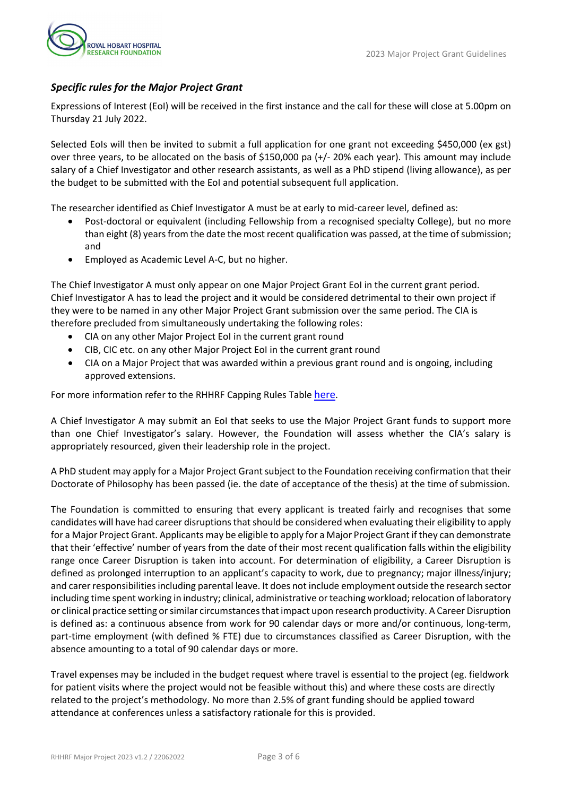

# *Specific rules for the Major Project Grant*

Expressions of Interest (EoI) will be received in the first instance and the call for these will close at 5.00pm on Thursday 21 July 2022.

Selected EoIs will then be invited to submit a full application for one grant not exceeding \$450,000 (ex gst) over three years, to be allocated on the basis of \$150,000 pa (+/- 20% each year). This amount may include salary of a Chief Investigator and other research assistants, as well as a PhD stipend (living allowance), as per the budget to be submitted with the EoI and potential subsequent full application.

The researcher identified as Chief Investigator A must be at early to mid-career level, defined as:

- Post-doctoral or equivalent (including Fellowship from a recognised specialty College), but no more than eight (8) years from the date the most recent qualification was passed, at the time of submission; and
- Employed as Academic Level A-C, but no higher.

The Chief Investigator A must only appear on one Major Project Grant EoI in the current grant period. Chief Investigator A has to lead the project and it would be considered detrimental to their own project if they were to be named in any other Major Project Grant submission over the same period. The CIA is therefore precluded from simultaneously undertaking the following roles:

- CIA on any other Major Project EoI in the current grant round
- CIB, CIC etc. on any other Major Project EoI in the current grant round
- CIA on a Major Project that was awarded within a previous grant round and is ongoing, including approved extensions.

For more information refer to the RHHRF Capping Rules Table [here.](https://www.rhhresearchfoundation.org/sites/default/files/wysiwyg_images/rhhrf_capping_table_2023_grant_round.pdf)

A Chief Investigator A may submit an EoI that seeks to use the Major Project Grant funds to support more than one Chief Investigator's salary. However, the Foundation will assess whether the CIA's salary is appropriately resourced, given their leadership role in the project.

A PhD student may apply for a Major Project Grant subject to the Foundation receiving confirmation that their Doctorate of Philosophy has been passed (ie. the date of acceptance of the thesis) at the time of submission.

The Foundation is committed to ensuring that every applicant is treated fairly and recognises that some candidates will have had career disruptions that should be considered when evaluating their eligibility to apply for a Major Project Grant. Applicants may be eligible to apply for a Major Project Grant if they can demonstrate that their 'effective' number of years from the date of their most recent qualification falls within the eligibility range once Career Disruption is taken into account. For determination of eligibility, a Career Disruption is defined as prolonged interruption to an applicant's capacity to work, due to pregnancy; major illness/injury; and carer responsibilities including parental leave. It does not include employment outside the research sector including time spent working in industry; clinical, administrative or teaching workload; relocation of laboratory or clinical practice setting or similar circumstances that impact upon research productivity. A Career Disruption is defined as: a continuous absence from work for 90 calendar days or more and/or continuous, long-term, part-time employment (with defined % FTE) due to circumstances classified as Career Disruption, with the absence amounting to a total of 90 calendar days or more.

Travel expenses may be included in the budget request where travel is essential to the project (eg. fieldwork for patient visits where the project would not be feasible without this) and where these costs are directly related to the project's methodology. No more than 2.5% of grant funding should be applied toward attendance at conferences unless a satisfactory rationale for this is provided.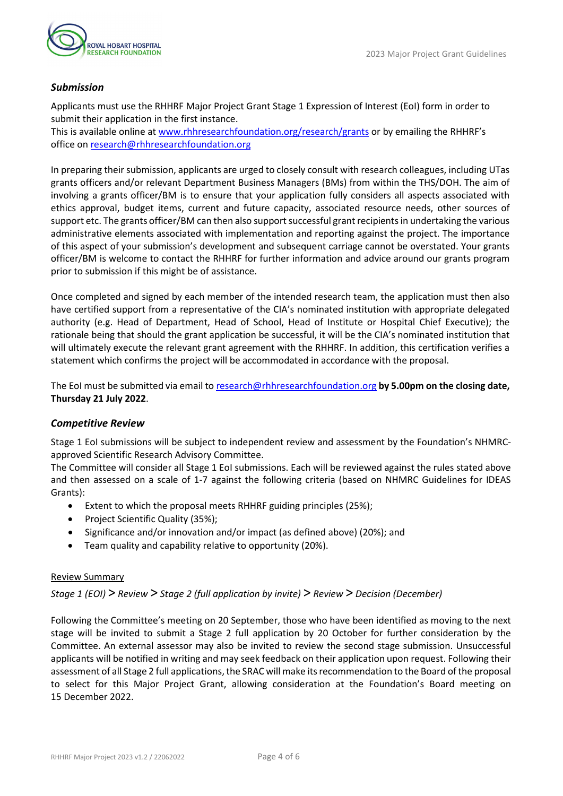

### *Submission*

Applicants must use the RHHRF Major Project Grant Stage 1 Expression of Interest (EoI) form in order to submit their application in the first instance.

This is available online a[t www.rhhresearchfoundation.org/research/grants](https://www.rhhresearchfoundation.org/research/grants) or by emailing the RHHRF's office o[n research@rhhresearchfoundation.org](mailto:research@rhhresearchfoundation.org)

In preparing their submission, applicants are urged to closely consult with research colleagues, including UTas grants officers and/or relevant Department Business Managers (BMs) from within the THS/DOH. The aim of involving a grants officer/BM is to ensure that your application fully considers all aspects associated with ethics approval, budget items, current and future capacity, associated resource needs, other sources of support etc. The grants officer/BM can then also support successful grant recipients in undertaking the various administrative elements associated with implementation and reporting against the project. The importance of this aspect of your submission's development and subsequent carriage cannot be overstated. Your grants officer/BM is welcome to contact the RHHRF for further information and advice around our grants program prior to submission if this might be of assistance.

Once completed and signed by each member of the intended research team, the application must then also have certified support from a representative of the CIA's nominated institution with appropriate delegated authority (e.g. Head of Department, Head of School, Head of Institute or Hospital Chief Executive); the rationale being that should the grant application be successful, it will be the CIA's nominated institution that will ultimately execute the relevant grant agreement with the RHHRF. In addition, this certification verifies a statement which confirms the project will be accommodated in accordance with the proposal.

The EoI must be submitted via email t[o research@rhhresearchfoundation.org](mailto:research@rhhresearchfoundation.org) **by 5.00pm on the closing date, Thursday 21 July 2022**.

#### *Competitive Review*

Stage 1 EoI submissions will be subject to independent review and assessment by the Foundation's NHMRCapproved Scientific Research Advisory Committee.

The Committee will consider all Stage 1 EoI submissions. Each will be reviewed against the rules stated above and then assessed on a scale of 1-7 against the following criteria (based on NHMRC Guidelines for IDEAS Grants):

- Extent to which the proposal meets RHHRF guiding principles (25%);
- Project Scientific Quality (35%);
- Significance and/or innovation and/or impact (as defined above) (20%); and
- Team quality and capability relative to opportunity (20%).

#### Review Summary

*Stage 1 (EOI)* > *Review* > *Stage 2 (full application by invite)* > *Review* > *Decision (December)*

Following the Committee's meeting on 20 September, those who have been identified as moving to the next stage will be invited to submit a Stage 2 full application by 20 October for further consideration by the Committee. An external assessor may also be invited to review the second stage submission. Unsuccessful applicants will be notified in writing and may seek feedback on their application upon request. Following their assessment of all Stage 2 full applications, the SRAC will make its recommendation to the Board of the proposal to select for this Major Project Grant, allowing consideration at the Foundation's Board meeting on 15 December 2022.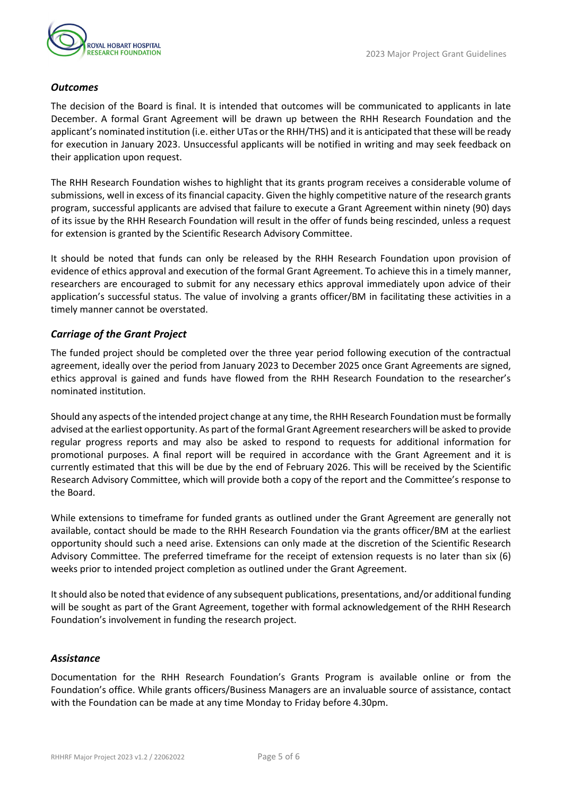

#### *Outcomes*

The decision of the Board is final. It is intended that outcomes will be communicated to applicants in late December. A formal Grant Agreement will be drawn up between the RHH Research Foundation and the applicant's nominated institution (i.e. either UTas or the RHH/THS) and it is anticipated that these will be ready for execution in January 2023. Unsuccessful applicants will be notified in writing and may seek feedback on their application upon request.

The RHH Research Foundation wishes to highlight that its grants program receives a considerable volume of submissions, well in excess of its financial capacity. Given the highly competitive nature of the research grants program, successful applicants are advised that failure to execute a Grant Agreement within ninety (90) days of its issue by the RHH Research Foundation will result in the offer of funds being rescinded, unless a request for extension is granted by the Scientific Research Advisory Committee.

It should be noted that funds can only be released by the RHH Research Foundation upon provision of evidence of ethics approval and execution of the formal Grant Agreement. To achieve this in a timely manner, researchers are encouraged to submit for any necessary ethics approval immediately upon advice of their application's successful status. The value of involving a grants officer/BM in facilitating these activities in a timely manner cannot be overstated.

#### *Carriage of the Grant Project*

The funded project should be completed over the three year period following execution of the contractual agreement, ideally over the period from January 2023 to December 2025 once Grant Agreements are signed, ethics approval is gained and funds have flowed from the RHH Research Foundation to the researcher's nominated institution.

Should any aspects of the intended project change at any time, the RHH Research Foundation must be formally advised at the earliest opportunity. As part of the formal Grant Agreement researchers will be asked to provide regular progress reports and may also be asked to respond to requests for additional information for promotional purposes. A final report will be required in accordance with the Grant Agreement and it is currently estimated that this will be due by the end of February 2026. This will be received by the Scientific Research Advisory Committee, which will provide both a copy of the report and the Committee's response to the Board.

While extensions to timeframe for funded grants as outlined under the Grant Agreement are generally not available, contact should be made to the RHH Research Foundation via the grants officer/BM at the earliest opportunity should such a need arise. Extensions can only made at the discretion of the Scientific Research Advisory Committee. The preferred timeframe for the receipt of extension requests is no later than six (6) weeks prior to intended project completion as outlined under the Grant Agreement.

It should also be noted that evidence of any subsequent publications, presentations, and/or additional funding will be sought as part of the Grant Agreement, together with formal acknowledgement of the RHH Research Foundation's involvement in funding the research project.

#### *Assistance*

Documentation for the RHH Research Foundation's Grants Program is available online or from the Foundation's office. While grants officers/Business Managers are an invaluable source of assistance, contact with the Foundation can be made at any time Monday to Friday before 4.30pm.